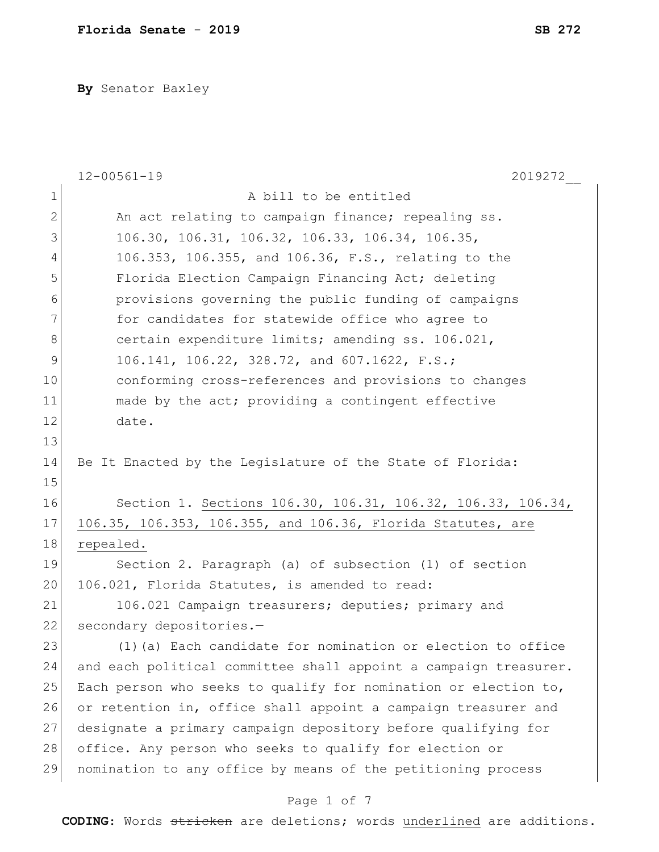**By** Senator Baxley

|                | $12 - 00561 - 19$<br>2019272                                     |
|----------------|------------------------------------------------------------------|
| $\mathbf 1$    | A bill to be entitled                                            |
| $\mathbf{2}$   | An act relating to campaign finance; repealing ss.               |
| 3              | 106.30, 106.31, 106.32, 106.33, 106.34, 106.35,                  |
| $\overline{4}$ | 106.353, 106.355, and 106.36, F.S., relating to the              |
| 5              | Florida Election Campaign Financing Act; deleting                |
| 6              | provisions governing the public funding of campaigns             |
| 7              | for candidates for statewide office who agree to                 |
| 8              | certain expenditure limits; amending ss. 106.021,                |
| 9              | 106.141, 106.22, 328.72, and 607.1622, F.S.;                     |
| 10             | conforming cross-references and provisions to changes            |
| 11             | made by the act; providing a contingent effective                |
| 12             | date.                                                            |
| 13             |                                                                  |
| 14             | Be It Enacted by the Legislature of the State of Florida:        |
| 15             |                                                                  |
| 16             | Section 1. Sections 106.30, 106.31, 106.32, 106.33, 106.34,      |
| 17             | 106.35, 106.353, 106.355, and 106.36, Florida Statutes, are      |
| 18             | repealed.                                                        |
| 19             | Section 2. Paragraph (a) of subsection (1) of section            |
| 20             | 106.021, Florida Statutes, is amended to read:                   |
| 21             | 106.021 Campaign treasurers; deputies; primary and               |
| 22             | secondary depositories.-                                         |
| 23             | (1) (a) Each candidate for nomination or election to office      |
| 24             | and each political committee shall appoint a campaign treasurer. |
| 25             | Each person who seeks to qualify for nomination or election to,  |
| 26             | or retention in, office shall appoint a campaign treasurer and   |
| 27             | designate a primary campaign depository before qualifying for    |
| 28             | office. Any person who seeks to qualify for election or          |
| 29             | nomination to any office by means of the petitioning process     |
|                | Page 1 of 7                                                      |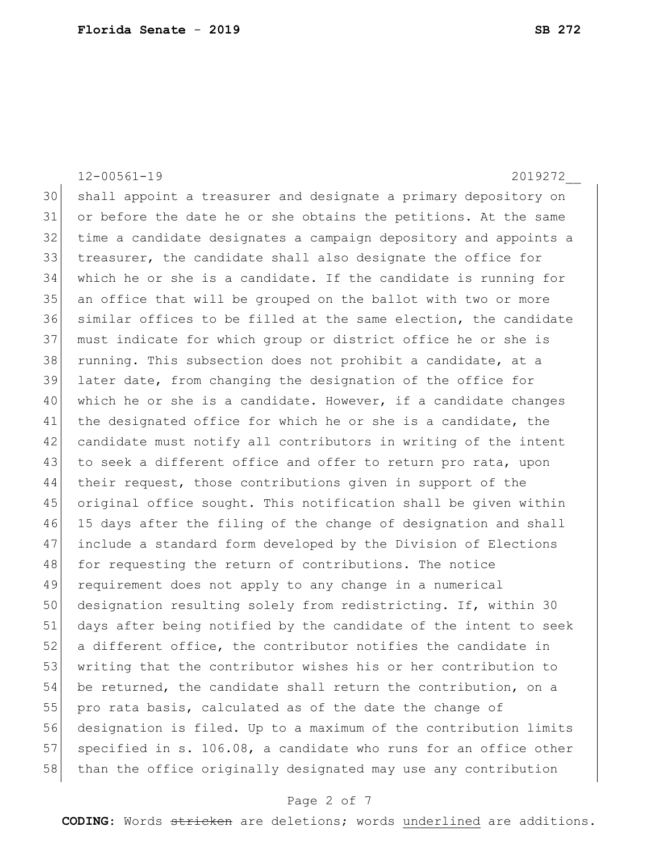12-00561-19 2019272\_\_ shall appoint a treasurer and designate a primary depository on or before the date he or she obtains the petitions. At the same time a candidate designates a campaign depository and appoints a treasurer, the candidate shall also designate the office for which he or she is a candidate. If the candidate is running for an office that will be grouped on the ballot with two or more similar offices to be filled at the same election, the candidate must indicate for which group or district office he or she is running. This subsection does not prohibit a candidate, at a later date, from changing the designation of the office for 40 which he or she is a candidate. However, if a candidate changes 41 the designated office for which he or she is a candidate, the candidate must notify all contributors in writing of the intent 43 to seek a different office and offer to return pro rata, upon their request, those contributions given in support of the original office sought. This notification shall be given within 15 days after the filing of the change of designation and shall include a standard form developed by the Division of Elections 48 for requesting the return of contributions. The notice requirement does not apply to any change in a numerical designation resulting solely from redistricting. If, within 30 days after being notified by the candidate of the intent to seek a different office, the contributor notifies the candidate in 53 writing that the contributor wishes his or her contribution to be returned, the candidate shall return the contribution, on a 55 pro rata basis, calculated as of the date the change of designation is filed. Up to a maximum of the contribution limits 57 specified in s. 106.08, a candidate who runs for an office other 58 than the office originally designated may use any contribution

### Page 2 of 7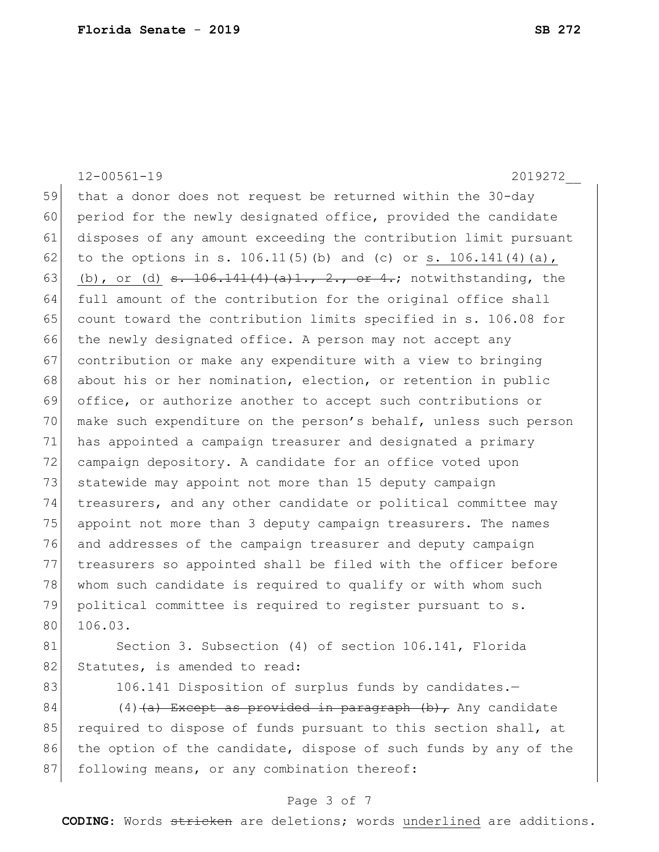12-00561-19 2019272\_\_ 59 that a donor does not request be returned within the 30-day 60 period for the newly designated office, provided the candidate 61 disposes of any amount exceeding the contribution limit pursuant 62 to the options in s. 106.11(5)(b) and (c) or s. 106.141(4)(a), 63 (b), or (d)  $s. 106.141(4)$   $(a)1., 2., or 4.; not with standing, the$ 64 full amount of the contribution for the original office shall 65 count toward the contribution limits specified in s. 106.08 for 66 the newly designated office. A person may not accept any 67 contribution or make any expenditure with a view to bringing 68 about his or her nomination, election, or retention in public 69 office, or authorize another to accept such contributions or 70 make such expenditure on the person's behalf, unless such person 71 has appointed a campaign treasurer and designated a primary 72 campaign depository. A candidate for an office voted upon 73 statewide may appoint not more than 15 deputy campaign 74 treasurers, and any other candidate or political committee may 75 appoint not more than 3 deputy campaign treasurers. The names 76 and addresses of the campaign treasurer and deputy campaign 77 treasurers so appointed shall be filed with the officer before 78 whom such candidate is required to qualify or with whom such 79 political committee is required to register pursuant to s. 80 106.03. 81 Section 3. Subsection (4) of section 106.141, Florida 82 Statutes, is amended to read:

83 106.141 Disposition of surplus funds by candidates.

84 (4)  $(a)$  Except as provided in paragraph (b), Any candidate 85 required to dispose of funds pursuant to this section shall, at 86 the option of the candidate, dispose of such funds by any of the 87 following means, or any combination thereof:

#### Page 3 of 7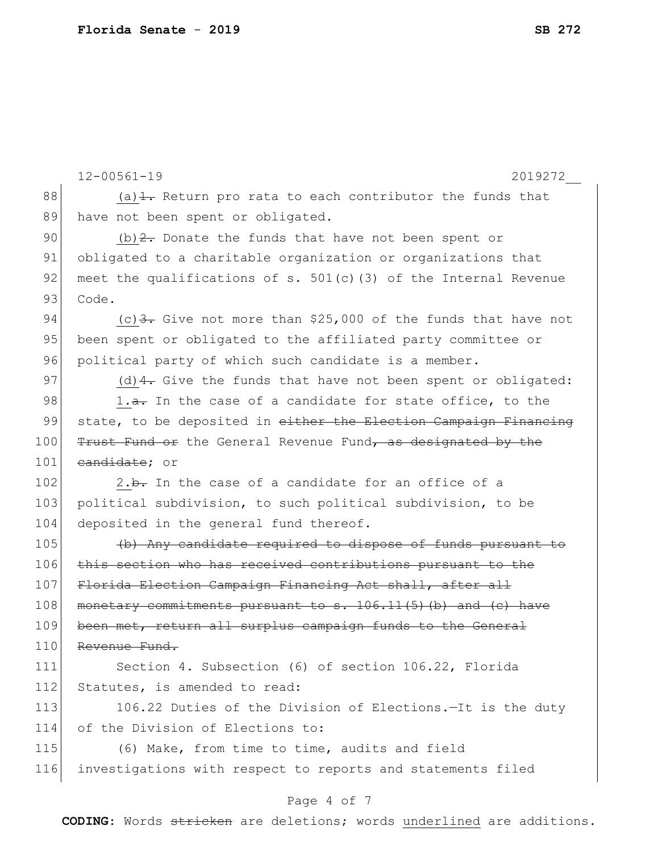|     | $12 - 00561 - 19$<br>2019272                                               |
|-----|----------------------------------------------------------------------------|
| 88  | (a) $\frac{1}{1}$ . Return pro rata to each contributor the funds that     |
| 89  | have not been spent or obligated.                                          |
| 90  | $(b)$ 2. Donate the funds that have not been spent or                      |
| 91  | obligated to a charitable organization or organizations that               |
| 92  | meet the qualifications of s. $501(c)$ (3) of the Internal Revenue         |
| 93  | Code.                                                                      |
| 94  | (c) $\frac{3}{2}$ . Give not more than \$25,000 of the funds that have not |
| 95  | been spent or obligated to the affiliated party committee or               |
| 96  | political party of which such candidate is a member.                       |
| 97  | (d) $4$ . Give the funds that have not been spent or obligated:            |
| 98  | 1.a. In the case of a candidate for state office, to the                   |
| 99  | state, to be deposited in either the Election Campaign Financing           |
| 100 | Trust Fund or the General Revenue Fund, as designated by the               |
| 101 | eandidate; or                                                              |
| 102 | 2.b. In the case of a candidate for an office of a                         |
| 103 | political subdivision, to such political subdivision, to be                |
| 104 | deposited in the general fund thereof.                                     |
| 105 | (b) Any candidate required to dispose of funds pursuant to                 |
| 106 | this section who has received contributions pursuant to the                |
| 107 | Florida Election Campaign Financing Act shall, after all                   |
| 108 | monetary commitments pursuant to s. 106.11(5)(b) and (c) have              |
| 109 | been met, return all surplus campaign funds to the General                 |
| 110 | Revenue Fund.                                                              |
| 111 | Section 4. Subsection (6) of section 106.22, Florida                       |
| 112 | Statutes, is amended to read:                                              |
| 113 | 106.22 Duties of the Division of Elections.-It is the duty                 |
| 114 | of the Division of Elections to:                                           |
| 115 | (6) Make, from time to time, audits and field                              |
| 116 | investigations with respect to reports and statements filed                |

## Page 4 of 7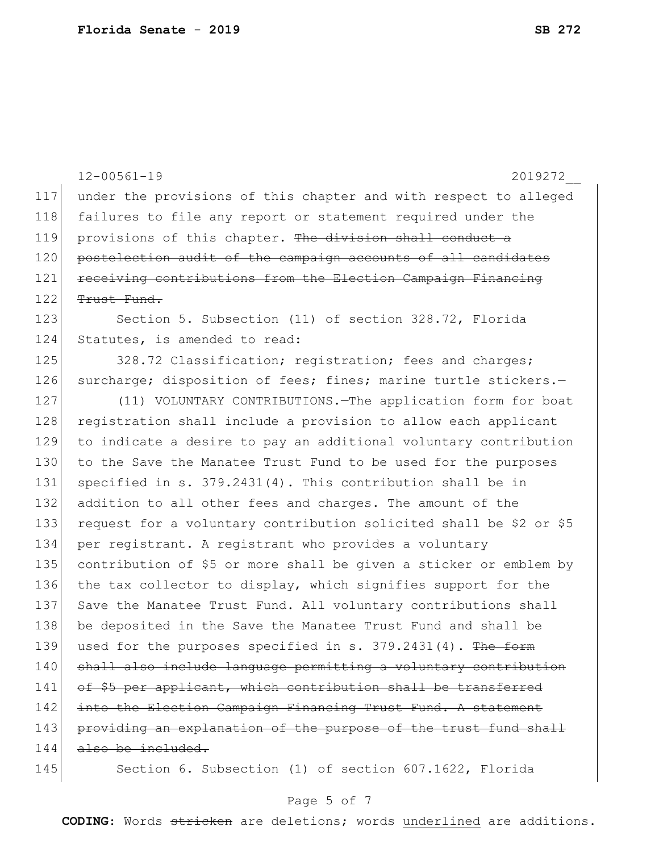|     | $12 - 00561 - 19$<br>2019272                                       |
|-----|--------------------------------------------------------------------|
| 117 | under the provisions of this chapter and with respect to alleged   |
| 118 | failures to file any report or statement required under the        |
| 119 | provisions of this chapter. The division shall conduct a           |
| 120 | postelection audit of the campaign accounts of all candidates      |
| 121 | receiving contributions from the Election Campaign Financing       |
| 122 | <del>Trust Fund.</del>                                             |
| 123 | Section 5. Subsection (11) of section 328.72, Florida              |
| 124 | Statutes, is amended to read:                                      |
| 125 | 328.72 Classification; registration; fees and charges;             |
| 126 | surcharge; disposition of fees; fines; marine turtle stickers.-    |
| 127 | (11) VOLUNTARY CONTRIBUTIONS. - The application form for boat      |
| 128 | registration shall include a provision to allow each applicant     |
| 129 | to indicate a desire to pay an additional voluntary contribution   |
| 130 | to the Save the Manatee Trust Fund to be used for the purposes     |
| 131 | specified in s. $379.2431(4)$ . This contribution shall be in      |
| 132 | addition to all other fees and charges. The amount of the          |
| 133 | request for a voluntary contribution solicited shall be \$2 or \$5 |
| 134 | per registrant. A registrant who provides a voluntary              |
| 135 | contribution of \$5 or more shall be given a sticker or emblem by  |
| 136 | the tax collector to display, which signifies support for the      |
| 137 | Save the Manatee Trust Fund. All voluntary contributions shall     |
| 138 | be deposited in the Save the Manatee Trust Fund and shall be       |
| 139 | used for the purposes specified in s. 379.2431(4). The form        |
| 140 | shall also include language permitting a voluntary contribution    |
| 141 | of \$5 per applicant, which contribution shall be transferred      |
| 142 | into the Election Campaign Financing Trust Fund. A statement       |
| 143 | providing an explanation of the purpose of the trust fund shall    |
| 144 | also be included.                                                  |
| 145 | Section 6. Subsection (1) of section 607.1622, Florida             |

## Page 5 of 7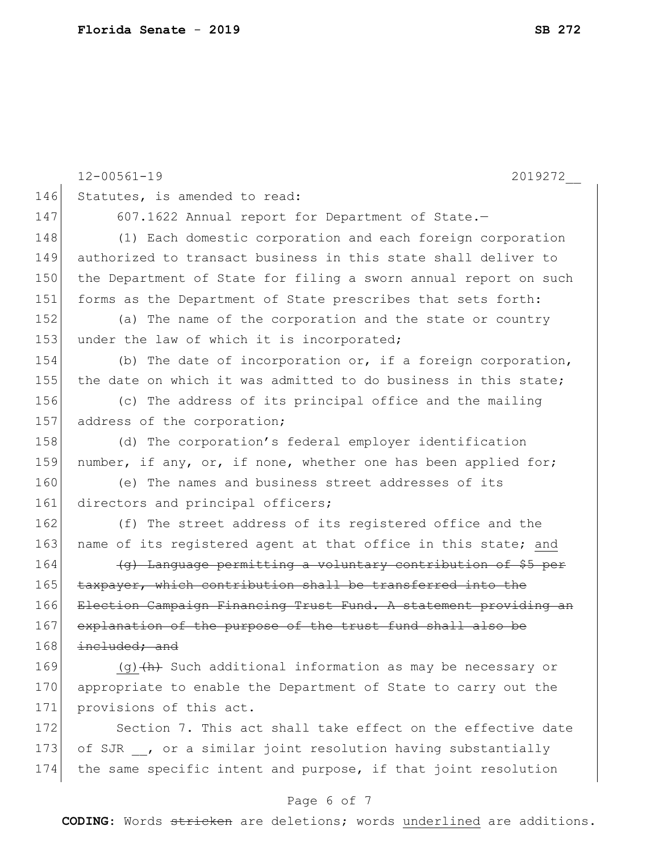12-00561-19 2019272\_\_ 146 Statutes, is amended to read: 147 607.1622 Annual report for Department of State.-148 (1) Each domestic corporation and each foreign corporation 149 authorized to transact business in this state shall deliver to 150 the Department of State for filing a sworn annual report on such 151 forms as the Department of State prescribes that sets forth: 152 (a) The name of the corporation and the state or country 153 under the law of which it is incorporated; 154 (b) The date of incorporation or, if a foreign corporation, 155 the date on which it was admitted to do business in this state; 156 (c) The address of its principal office and the mailing 157 address of the corporation; 158 (d) The corporation's federal employer identification 159 number, if any, or, if none, whether one has been applied for; 160 (e) The names and business street addresses of its 161 directors and principal officers; 162 (f) The street address of its registered office and the 163 name of its registered agent at that office in this state; and 164 **(g)** Language permitting a voluntary contribution of \$5 per 165 taxpayer, which contribution shall be transferred into the 166 Election Campaign Financing Trust Fund. A statement providing an 167 explanation of the purpose of the trust fund shall also be  $168$  included; and 169  $(q)$  (q)  $(h)$  Such additional information as may be necessary or 170 appropriate to enable the Department of State to carry out the 171 provisions of this act. 172 Section 7. This act shall take effect on the effective date 173 of SJR  $\prime$ , or a similar joint resolution having substantially 174 the same specific intent and purpose, if that joint resolution

#### Page 6 of 7